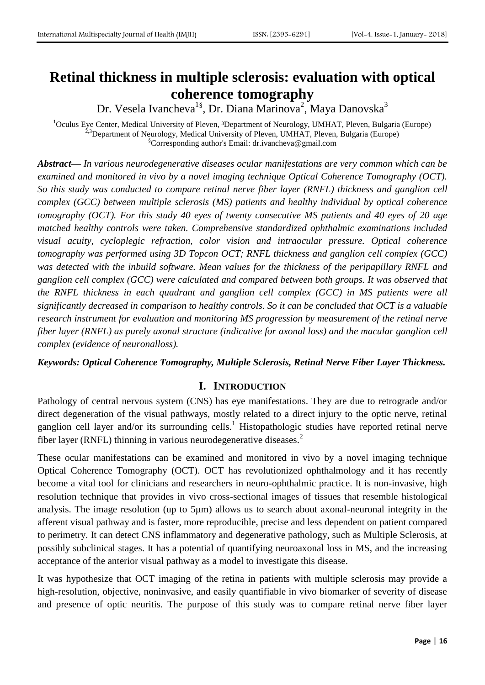# **Retinal thickness in multiple sclerosis: evaluation with optical coherence tomography**

Dr. Vesela Ivancheva<sup>1§</sup>, Dr. Diana Marinova<sup>2</sup>, Maya Danovska<sup>3</sup>

<sup>1</sup>Oculus Eye Center, Medical University of Pleven, <sup>3</sup>Department of Neurology, UMHAT, Pleven, Bulgaria (Europe)  $3$ Department of Neurology, Medical University of Pleven, UMHAT, Pleven, Bulgaria (Europe) §Corresponding author's Email: [dr.ivancheva@gmail.com](mailto:dr.ivancheva@gmail.com)

*Abstract— In various neurodegenerative diseases ocular manifestations are very common which can be examined and monitored in vivo by a novel imaging technique Optical Coherence Tomography (OCT). So this study was conducted to compare retinal nerve fiber layer (RNFL) thickness and ganglion cell complex (GCC) between multiple sclerosis (MS) patients and healthy individual by optical coherence tomography (OCT). For this study 40 eyes of twenty consecutive MS patients and 40 eyes of 20 age matched healthy controls were taken. Comprehensive standardized ophthalmic examinations included visual acuity, cycloplegic refraction, color vision and intraocular pressure. Optical coherence tomography was performed using 3D Topcon OCT; RNFL thickness and ganglion cell complex (GCC) was detected with the inbuild software. Mean values for the thickness of the peripapillary RNFL and ganglion cell complex (GCC) were calculated and compared between both groups. It was observed that the RNFL thickness in each quadrant and ganglion cell complex (GCC) in MS patients were all significantly decreased in comparison to healthy controls. So it can be concluded that OCT is a valuable research instrument for evaluation and monitoring MS progression by measurement of the retinal nerve fiber layer (RNFL) as purely axonal structure (indicative for axonal loss) and the macular ganglion cell complex (evidence of neuronalloss).*

*Keywords: Optical Coherence Tomography, Multiple Sclerosis, Retinal Nerve Fiber Layer Thickness.*

### **I. INTRODUCTION**

Pathology of central nervous system (CNS) has eye manifestations. They are due to retrograde and/or direct degeneration of the visual pathways, mostly related to a direct injury to the optic nerve, retinal ganglion cell layer and/or its surrounding cells.<sup>1</sup> Histopathologic studies have reported retinal nerve fiber layer (RNFL) thinning in various neurodegenerative diseases.<sup>2</sup>

These ocular manifestations can be examined and monitored in vivo by a novel imaging technique Optical Coherence Tomography (OCT). OCT has revolutionized ophthalmology and it has recently become a vital tool for clinicians and researchers in neuro-ophthalmic practice. It is non-invasive, high resolution technique that provides in vivo cross-sectional images of tissues that resemble histological analysis. The image resolution (up to 5µm) allows us to search about axonal-neuronal integrity in the afferent visual pathway and is faster, more reproducible, precise and less dependent on patient compared to perimetry. It can detect CNS inflammatory and degenerative pathology, such as Multiple Sclerosis, at possibly subclinical stages. It has a potential of quantifying neuroaxonal loss in MS, and the increasing acceptance of the anterior visual pathway as a model to investigate this disease.

It was hypothesize that OCT imaging of the retina in patients with multiple sclerosis may provide a high-resolution, objective, noninvasive, and easily quantifiable in vivo biomarker of severity of disease and presence of optic neuritis. The purpose of this study was to compare retinal nerve fiber layer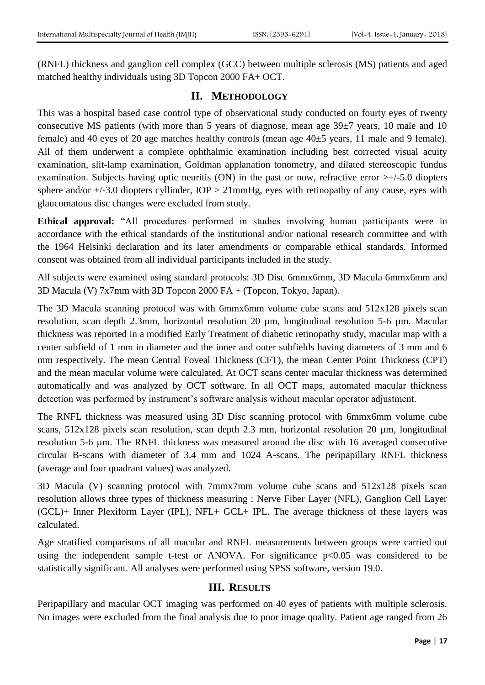(RNFL) thickness and ganglion cell complex (GCC) between multiple sclerosis (MS) patients and aged matched healthy individuals using 3D Topcon 2000 FA+ OCT.

# **II. METHODOLOGY**

This was a hospital based case control type of observational study conducted on fourty eyes of twenty consecutive MS patients (with more than 5 years of diagnose, mean age 39±7 years, 10 male and 10 female) and 40 eyes of 20 age matches healthy controls (mean age  $40\pm5$  years, 11 male and 9 female). All of them underwent a complete ophthalmic examination including best corrected visual acuity examination, slit-lamp examination, Goldman applanation tonometry, and dilated stereoscopic fundus examination. Subjects having optic neuritis (ON) in the past or now, refractive error  $\geq +1.5.0$  diopters sphere and/or  $+/-3.0$  diopters cyllinder,  $IOP > 21mmHg$ , eyes with retinopathy of any cause, eyes with glaucomatous disc changes were excluded from study.

**Ethical approval:** "All procedures performed in studies involving human participants were in accordance with the ethical standards of the institutional and/or national research committee and with the 1964 Helsinki declaration and its later amendments or comparable ethical standards. Informed consent was obtained from all individual participants included in the study.

All subjects were examined using standard protocols: 3D Disc 6mmx6mm, 3D Macula 6mmx6mm and 3D Macula (V) 7x7mm with 3D Topcon 2000 FA + (Topcon, Tokyo, Japan).

The 3D Macula scanning protocol was with 6mmx6mm volume cube scans and 512x128 pixels scan resolution, scan depth 2.3mm, horizontal resolution 20 µm, longitudinal resolution 5-6 µm. Macular thickness was reported in a modified Early Treatment of diabetic retinopathy study, macular map with a center subfield of 1 mm in diameter and the inner and outer subfields having diameters of 3 mm and 6 mm respectively. The mean Central Foveal Thickness (CFT), the mean Center Point Thickness (CPT) and the mean macular volume were calculated. At OCT scans center macular thickness was determined automatically and was analyzed by OCT software. In all OCT maps, automated macular thickness detection was performed by instrument's software analysis without macular operator adjustment.

The RNFL thickness was measured using 3D Disc scanning protocol with 6mmx6mm volume cube scans,  $512x128$  pixels scan resolution, scan depth 2.3 mm, horizontal resolution 20  $\mu$ m, longitudinal resolution 5-6 µm. The RNFL thickness was measured around the disc with 16 averaged consecutive circular B-scans with diameter of 3.4 mm and 1024 A-scans. The peripapillary RNFL thickness (average and four quadrant values) was analyzed.

3D Macula (V) scanning protocol with 7mmx7mm volume cube scans and 512x128 pixels scan resolution allows three types of thickness measuring : Nerve Fiber Layer (NFL), Ganglion Cell Layer (GCL)+ Inner Plexiform Layer (IPL), NFL+ GCL+ IPL. The average thickness of these layers was calculated.

Age stratified comparisons of all macular and RNFL measurements between groups were carried out using the independent sample t-test or ANOVA. For significance  $p<0.05$  was considered to be statistically significant. All analyses were performed using SPSS software, version 19.0.

## **III. RESULTS**

Peripapillary and macular OCT imaging was performed on 40 eyes of patients with multiple sclerosis. No images were excluded from the final analysis due to poor image quality. Patient age ranged from 26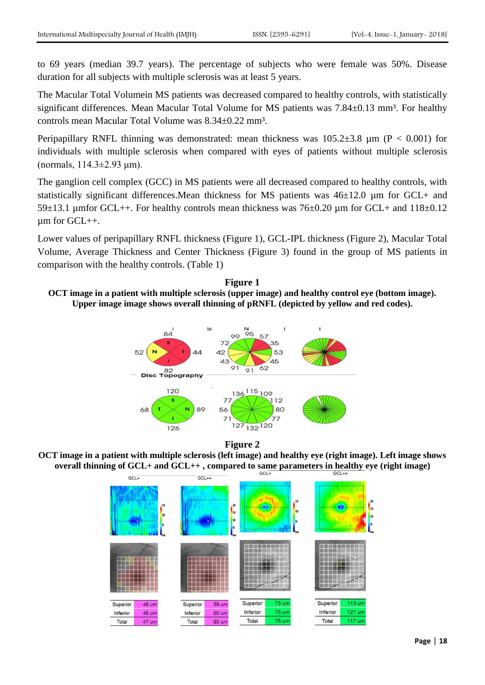to 69 years (median 39.7 years). The percentage of subjects who were female was 50%. Disease duration for all subjects with multiple sclerosis was at least 5 years.

The Macular Total Volumein MS patients was decreased compared to healthy controls, with statistically significant differences. Mean Macular Total Volume for MS patients was  $7.84\pm0.13$  mm<sup>3</sup>. For healthy controls mean Macular Total Volume was 8.34±0.22 mm³.

Peripapillary RNFL thinning was demonstrated: mean thickness was  $105.2\pm3.8$  µm (P < 0.001) for individuals with multiple sclerosis when compared with eyes of patients without multiple sclerosis (normals, 114.3±2.93 μm).

The ganglion cell complex (GCC) in MS patients were all decreased compared to healthy controls, with statistically significant differences.Mean thickness for MS patients was 46±12.0 µm for GCL+ and 59 $\pm$ 13.1 µmfor GCL++. For healthy controls mean thickness was 76 $\pm$ 0.20 µm for GCL+ and 118 $\pm$ 0.12 µm for GCL++.

Lower values of peripapillary RNFL thickness (Figure 1), GCL-IPL thickness (Figure 2), Macular Total Volume, Average Thickness and Center Thickness (Figure 3) found in the group of MS patients in comparison with the healthy controls. (Table 1)





**Figure 2**

**OCT image in a patient with multiple sclerosis (left image) and healthy eye (right image). Left image shows overall thinning of GCL+ and GCL++, compared to same parameters in healthy eye (right image)** 

| $GCL+$   |                                 | $GCL++$  |                                       |          |                         |          |                               |  |
|----------|---------------------------------|----------|---------------------------------------|----------|-------------------------|----------|-------------------------------|--|
|          | 150<br>100<br>50<br><b>Lost</b> |          | 200<br>150<br>100<br>50<br><b>Los</b> | is.      | 150<br>100<br>50<br>δø. | 463      | 200<br>150<br>100<br><b>M</b> |  |
|          |                                 |          |                                       |          |                         |          |                               |  |
| Superior | <b>46 um</b>                    | Superior | <b>59 um</b>                          | Superior | 75 um                   | Superior | 113 um                        |  |
| Inferior | <b>48 um</b>                    | Inferior | 60 um                                 | Inferior | <b>75 um</b>            | Inferior | 121 um                        |  |
| Total    | 47 um                           | Total    | 60 um                                 | Total    | <b>75 um</b>            | Total    | 117 um                        |  |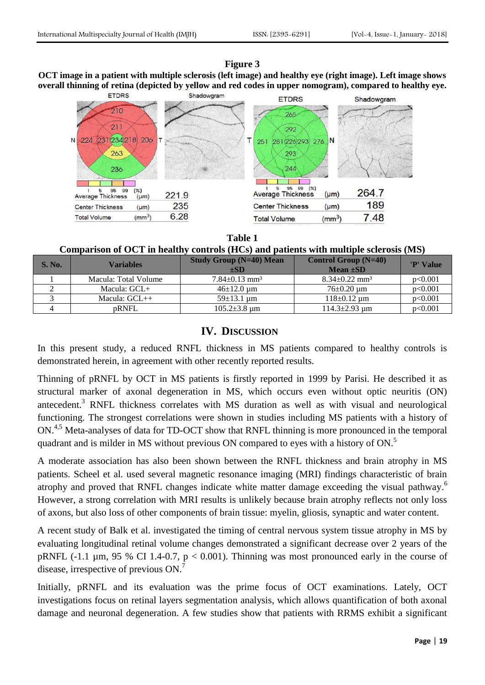### **Figure 3**

**OCT image in a patient with multiple sclerosis (left image) and healthy eye (right image). Left image shows overall thinning of retina (depicted by yellow and red codes in upper nomogram), compared to healthy eye.**



#### **Table 1**

**Comparison of OCT in healthy controls (HCs) and patients with multiple sclerosis (MS)**

| <b>S. No.</b> | Variables            | <b>Study Group (N=40) Mean</b><br>$\pm SD$ | <b>Control Group (N=40)</b><br>$Mean \pm SD$ | 'P' Value |
|---------------|----------------------|--------------------------------------------|----------------------------------------------|-----------|
|               | Macula: Total Volume | $7.84 \pm 0.13$ mm <sup>3</sup>            | $8.34 \pm 0.22$ mm <sup>3</sup>              | p<0.001   |
|               | Macula: $GCL+$       | $46\pm12.0 \text{ um}$                     | $76\pm0.20$ um                               | p<0.001   |
|               | Macula: $GCL++$      | $59 \pm 13.1$ um                           | $118 \pm 0.12$ um                            | p<0.001   |
|               | <b>pRNFL</b>         | $105.2 \pm 3.8$ um                         | $114.3 \pm 2.93$ um                          | p<0.001   |

## **IV. DISCUSSION**

In this present study, a reduced RNFL thickness in MS patients compared to healthy controls is demonstrated herein, in agreement with other recently reported results.

Thinning of pRNFL by OCT in MS patients is firstly reported in 1999 by Parisi. He described it as structural marker of axonal degeneration in MS, which occurs even without optic neuritis (ON) antecedent.<sup>3</sup> RNFL thickness correlates with MS duration as well as with visual and neurological functioning. The strongest correlations were shown in studies including MS patients with a history of ON.<sup>4,5</sup> Meta-analyses of data for TD-OCT show that RNFL thinning is more pronounced in the temporal quadrant and is milder in MS without previous ON compared to eyes with a history of ON.<sup>5</sup>

A moderate association has also been shown between the RNFL thickness and brain atrophy in MS patients. Scheel et al. used several magnetic resonance imaging (MRI) findings characteristic of brain atrophy and proved that RNFL changes indicate white matter damage exceeding the visual pathway.<sup>6</sup> However, a strong correlation with MRI results is unlikely because brain atrophy reflects not only loss of axons, but also loss of other components of brain tissue: myelin, gliosis, synaptic and water content.

A recent study of Balk et al. investigated the timing of central nervous system tissue atrophy in MS by evaluating longitudinal retinal volume changes demonstrated a significant decrease over 2 years of the pRNFL (-1.1  $\mu$ m, 95 % CI 1.4-0.7, p < 0.001). Thinning was most pronounced early in the course of disease, irrespective of previous ON.<sup>7</sup>

Initially, pRNFL and its evaluation was the prime focus of OCT examinations. Lately, OCT investigations focus on retinal layers segmentation analysis, which allows quantification of both axonal damage and neuronal degeneration. A few studies show that patients with RRMS exhibit a significant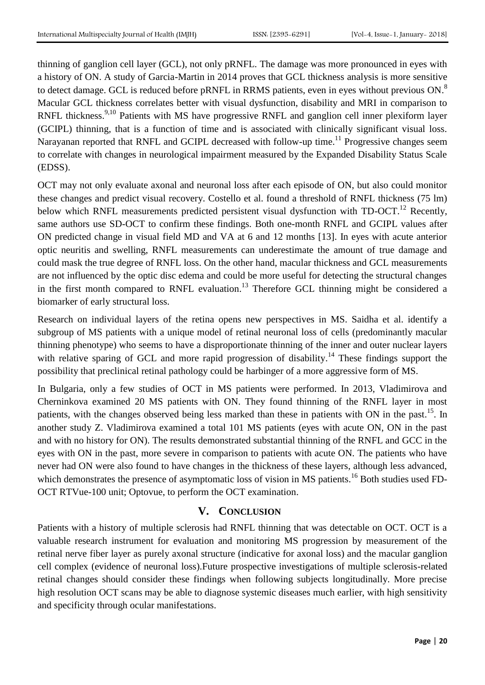thinning of ganglion cell layer (GCL), not only pRNFL. The damage was more pronounced in eyes with a history of ON. A study of Garcia-Martin in 2014 proves that GCL thickness analysis is more sensitive to detect damage. GCL is reduced before pRNFL in RRMS patients, even in eyes without previous ON.<sup>8</sup> Macular GCL thickness correlates better with visual dysfunction, disability and MRI in comparison to RNFL thickness.<sup>9,10</sup> Patients with MS have progressive RNFL and ganglion cell inner plexiform layer (GCIPL) thinning, that is a function of time and is associated with clinically significant visual loss. Narayanan reported that RNFL and GCIPL decreased with follow-up time.<sup>11</sup> Progressive changes seem to correlate with changes in neurological impairment measured by the Expanded Disability Status Scale (EDSS).

OCT may not only evaluate axonal and neuronal loss after each episode of ON, but also could monitor these changes and predict visual recovery. Costello et al. found a threshold of RNFL thickness (75 lm) below which RNFL measurements predicted persistent visual dysfunction with TD-OCT.<sup>12</sup> Recently, same authors use SD-OCT to confirm these findings. Both one-month RNFL and GCIPL values after ON predicted change in visual field MD and VA at 6 and 12 months [13]. In eyes with acute anterior optic neuritis and swelling, RNFL measurements can underestimate the amount of true damage and could mask the true degree of RNFL loss. On the other hand, macular thickness and GCL measurements are not influenced by the optic disc edema and could be more useful for detecting the structural changes in the first month compared to RNFL evaluation.<sup>13</sup> Therefore GCL thinning might be considered a biomarker of early structural loss.

Research on individual layers of the retina opens new perspectives in MS. Saidha et al. identify a subgroup of MS patients with a unique model of retinal neuronal loss of cells (predominantly macular thinning phenotype) who seems to have a disproportionate thinning of the inner and outer nuclear layers with relative sparing of GCL and more rapid progression of disability.<sup>14</sup> These findings support the possibility that preclinical retinal pathology could be harbinger of a more aggressive form of MS.

In Bulgaria, only a few studies of OCT in MS patients were performed. In 2013, Vladimirova and Cherninkova examined 20 MS patients with ON. They found thinning of the RNFL layer in most patients, with the changes observed being less marked than these in patients with ON in the past.<sup>15</sup>. In another study Z. Vladimirova examined a total 101 MS patients (eyes with acute ON, ON in the past and with no history for ON). The results demonstrated substantial thinning of the RNFL and GCC in the eyes with ON in the past, more severe in comparison to patients with acute ON. The patients who have never had ON were also found to have changes in the thickness of these layers, although less advanced, which demonstrates the presence of asymptomatic loss of vision in MS patients.<sup>16</sup> Both studies used FD-OCT RTVue-100 unit; Optovue, to perform the OCT examination.

## **V. CONCLUSION**

Patients with a history of multiple sclerosis had RNFL thinning that was detectable on OCT. OCT is a valuable research instrument for evaluation and monitoring MS progression by measurement of the retinal nerve fiber layer as purely axonal structure (indicative for axonal loss) and the macular ganglion cell complex (evidence of neuronal loss).Future prospective investigations of multiple sclerosis-related retinal changes should consider these findings when following subjects longitudinally. More precise high resolution OCT scans may be able to diagnose systemic diseases much earlier, with high sensitivity and specificity through ocular manifestations.